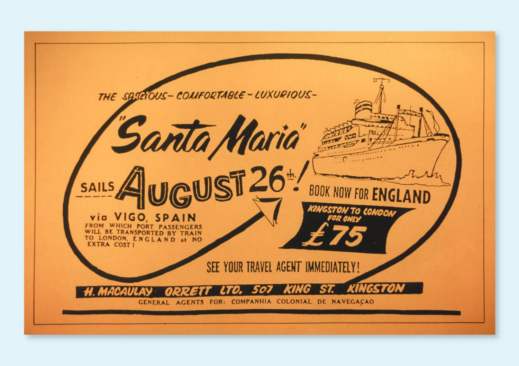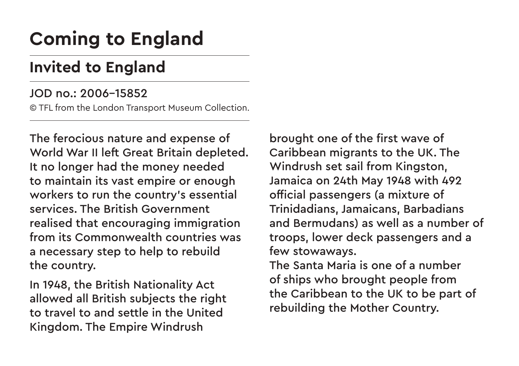### **Invited to England**

#### JOD no.: 2006-15852

© TFL from the London Transport Museum Collection.

The ferocious nature and expense of World War II left Great Britain depleted. It no longer had the money needed to maintain its vast empire or enough workers to run the country's essential services. The British Government realised that encouraging immigration from its Commonwealth countries was a necessary step to help to rebuild the country.

In 1948, the British Nationality Act allowed all British subjects the right to travel to and settle in the United Kingdom. The Empire Windrush

brought one of the first wave of Caribbean migrants to the UK. The Windrush set sail from Kingston, Jamaica on 24th May 1948 with 492 official passengers (a mixture of Trinidadians, Jamaicans, Barbadians and Bermudans) as well as a number of troops, lower deck passengers and a few stowaways.

The Santa Maria is one of a number of ships who brought people from the Caribbean to the UK to be part of rebuilding the Mother Country.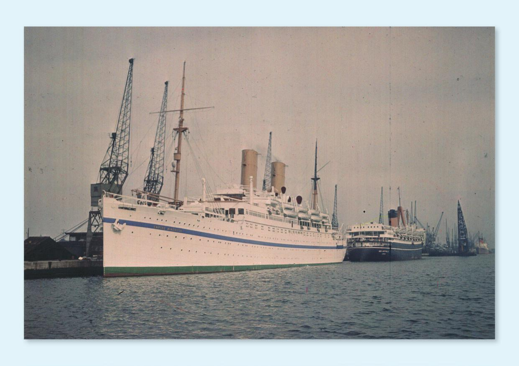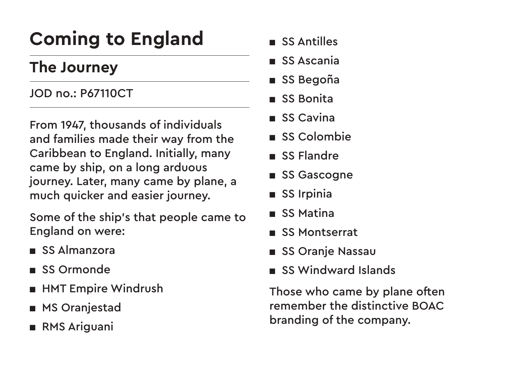### **The Journey**

JOD no.: P67110CT

From 1947, thousands of individuals and families made their way from the Caribbean to England. Initially, many came by ship, on a long arduous journey. Later, many came by plane, a much quicker and easier journey.

Some of the ship's that people came to England on were:

- $S_{\rm S}$  SS Almanzora
- ss Ormonde
- HMT Empire Windrush
- **n** MS Oranjestad
- **RMS Ariguani**
- <sup>n</sup> SS Antilles
- $\blacksquare$  SS Ascania
- $\blacksquare$  SS Begoña
- <sup>n</sup> SS Bonita
- $S$  SS Cavina
- $\blacksquare$  SS Colombie
- <sup>n</sup> SS Flandre
- SS Gascogne
- $\blacksquare$  SS Irpinia
- $S$ SS Matina
- <sup>n</sup> SS Montserrat
- SS Oranje Nassau
- **SS Windward Islands**

Those who came by plane often remember the distinctive BOAC branding of the company.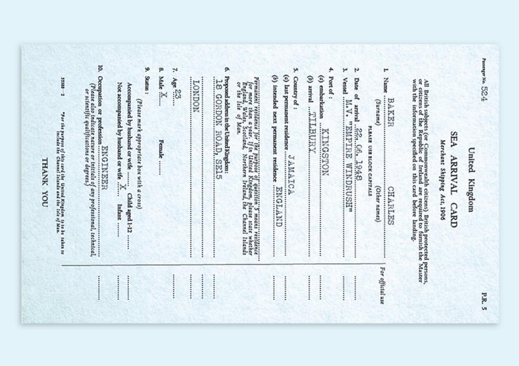Paneger No. 524

# United Kingdom

# SEA **ARRIVAL CARD**

Merchant Shipping Act, 1906

All British subjects (or Commonwealth citizens) British protected persons, or citizens of the Republic of Ireland are required to furnish the Master with the information specified on this card before landing.

| lo.<br>(Please dio indicate nature or initials of any professional, technical,<br>or scientific qualifications or degrees.) | ی<br>Sams:<br>Not accompanied by husband or wife $\overline{X}$<br>Accompanied by husband or wife<br>(Please mark appropriate box with a cross)<br>Child aged 1-12<br>Infant | œ<br>z,<br>Male X<br>Age 23<br>Female | TONDON<br><br>i | ۶<br>Proposed address in the United Kingdom:<br>18 GORDON ROAD, SE15<br> | Permanicii reitlateici jor itse purpose of question y means reitlance" for more than the state of the of Man.<br>For more than a year. If in United Ringdom, please state whether<br>for more than a year. If in United Ringdom, ple | ۳<br>Country of :<br><b><i>JAMAICA</i></b> | ÷<br>(c) embarkation<br>Port of :<br>KINGSTON<br> | سو<br>N,<br>vesel M.V. "EMPIRE WIRDRUSH" | ٣<br>Nane<br>BAKER<br>(Surname)<br>PLEASE USE BLOCK CAPITALS<br>(Other names)<br><b>CHARLES</b><br> |
|-----------------------------------------------------------------------------------------------------------------------------|------------------------------------------------------------------------------------------------------------------------------------------------------------------------------|---------------------------------------|-----------------|--------------------------------------------------------------------------|--------------------------------------------------------------------------------------------------------------------------------------------------------------------------------------------------------------------------------------|--------------------------------------------|---------------------------------------------------|------------------------------------------|-----------------------------------------------------------------------------------------------------|
|                                                                                                                             | <br>                                                                                                                                                                         |                                       | <br>            |                                                                          |                                                                                                                                                                                                                                      | <br>                                       | <br>                                              | <br>                                     | For official use                                                                                    |

1988 - 2

THANK YOU

P.R. 5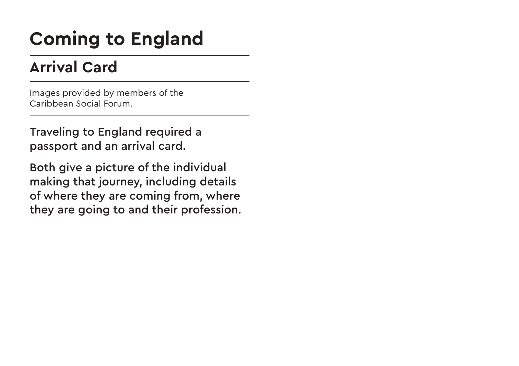### **Arrival Card**

Images provided by members of the Caribbean Social Forum.

Traveling to England required a passport and an arrival card.

Both give a picture of the individual making that journey, including details of where they are coming from, where they are going to and their profession.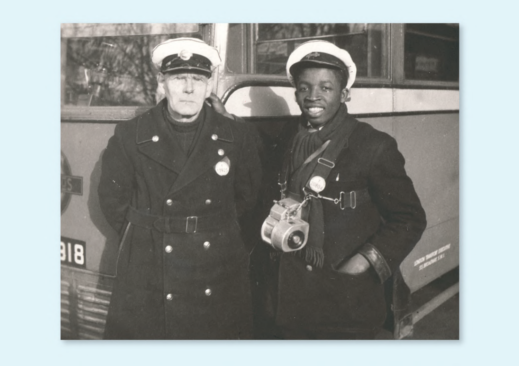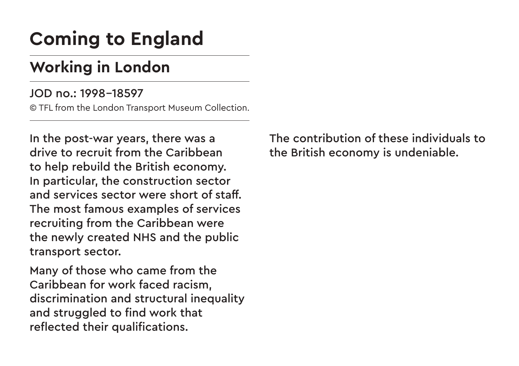### **Working in London**

#### JOD no.: 1998-18597

© TFL from the London Transport Museum Collection.

In the post-war years, there was a drive to recruit from the Caribbean to help rebuild the British economy. In particular, the construction sector and services sector were short of staff. The most famous examples of services recruiting from the Caribbean were the newly created NHS and the public transport sector.

Many of those who came from the Caribbean for work faced racism, discrimination and structural inequality and struggled to find work that reflected their qualifications.

The contribution of these individuals to the British economy is undeniable.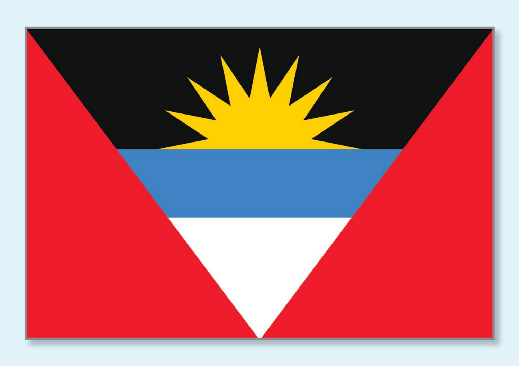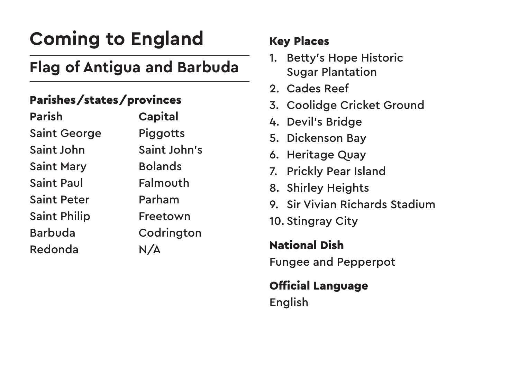### **Flag of Antigua and Barbuda**

#### Parishes/states/provinces

| Parish              | Capital        |
|---------------------|----------------|
| <b>Saint George</b> | Piggotts       |
| Saint John          | Saint John's   |
| Saint Mary          | <b>Bolands</b> |
| Saint Paul          | Falmouth       |
| <b>Saint Peter</b>  | Parham         |
| <b>Saint Philip</b> | Freetown       |
| Barbuda             | Codrington     |
| Redonda             | N/A            |
|                     |                |

#### Key Places

- 1. Betty's Hope Historic Sugar Plantation
- 2. Cades Reef
- 3. Coolidge Cricket Ground
- 4. Devil's Bridge
- 5. Dickenson Bay
- 6. Heritage Quay
- 7. Prickly Pear Island
- 8. Shirley Heights
- 9. Sir Vivian Richards Stadium
- 10. Stingray City

National Dish Fungee and Pepperpot

Official Language English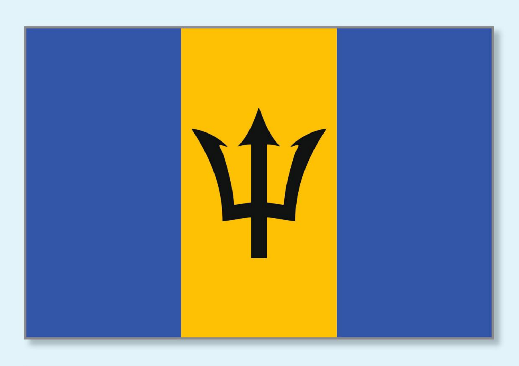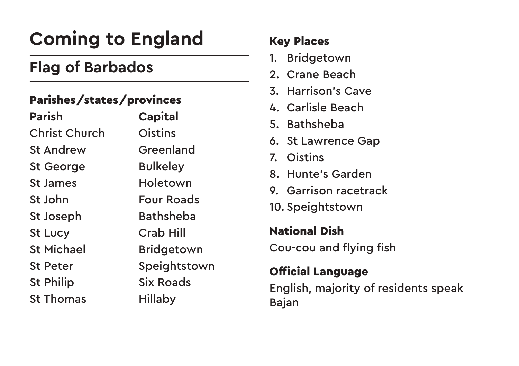### **Flag of Barbados**

#### Parishes/states/provinces

| Parish               | Capital           |
|----------------------|-------------------|
| <b>Christ Church</b> | <b>Oistins</b>    |
| <b>St Andrew</b>     | Greenland         |
| <b>St George</b>     | <b>Bulkeley</b>   |
| <b>St James</b>      | Holetown          |
| St John              | <b>Four Roads</b> |
| St Joseph            | <b>Bathsheba</b>  |
| St Lucy              | Crab Hill         |
| <b>St Michael</b>    | <b>Bridgetown</b> |
| <b>St Peter</b>      | Speightstown      |
| <b>St Philip</b>     | <b>Six Roads</b>  |
| St Thomas            | Hillaby           |
|                      |                   |

#### Key Places

- 1. Bridgetown
- 2. Crane Beach
- 3. Harrison's Cave
- 4. Carlisle Beach
- 5. Bathsheba
- 6. St Lawrence Gap
- 7. Oistins
- 8. Hunte's Garden
- 9. Garrison racetrack
- 10. Speightstown

#### National Dish

Cou-cou and flying fish

#### Official Language

English, majority of residents speak Bajan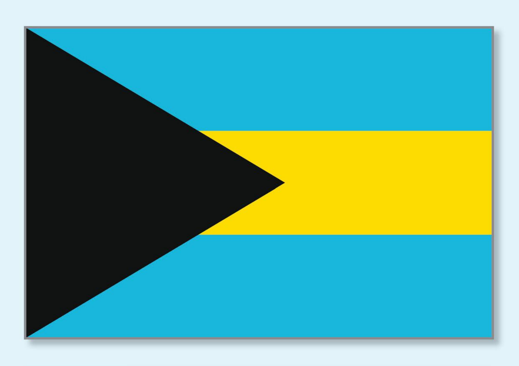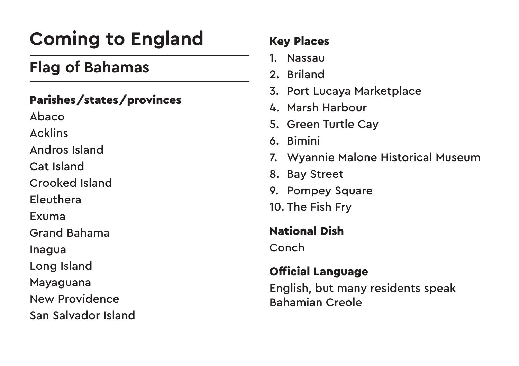### **Flag of Bahamas**

#### Parishes/states/provinces

Abaco

Acklins

Andros Island

Cat Island

Crooked Island

Eleuthera

Exuma

Grand Bahama

Inagua

Long Island

Mayaguana

New Providence

San Salvador Island

#### Key Places

- 1. Nassau
- 2. Briland
- 3. Port Lucaya Marketplace
- 4. Marsh Harbour
- 5. Green Turtle Cay
- 6. Bimini
- 7. Wyannie Malone Historical Museum
- 8. Bay Street
- 9. Pompey Square
- 10. The Fish Fry

#### National Dish

Conch

#### Official Language

English, but many residents speak Bahamian Creole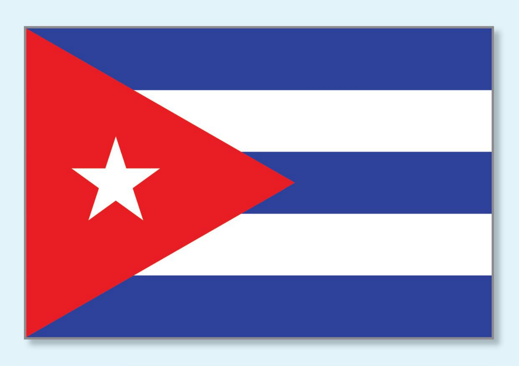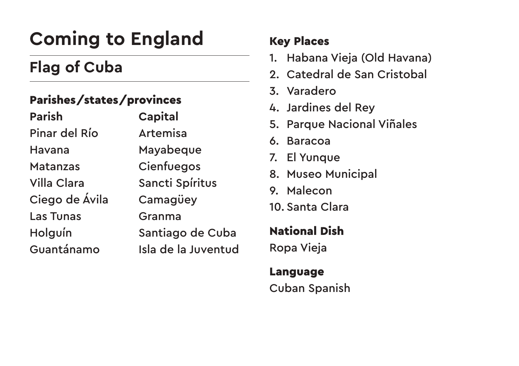### **Flag of Cuba**

#### Parishes/states/provinces

| <b>Parish</b>    |
|------------------|
| Pinar del Río    |
| Havana           |
| Matanzas         |
| Villa Clara      |
| Ciego de Ávila   |
| <b>Las Tunas</b> |
| Holguín          |
| Guantánamo       |
|                  |

**Capital Artemisa** Mayabeque Cienfuegos Sancti Spíritus Camagüey Granma Santiago de Cuba Isla de la Juventud

#### Key Places

- 1. Habana Vieja (Old Havana)
- 2. Catedral de San Cristobal
- 3. Varadero
- 4. Jardines del Rey
- 5. Parque Nacional Viñales
- 6. Baracoa
- 7. El Yunque
- 8. Museo Municipal
- 9. Malecon
- 10. Santa Clara

#### National Dish

Ropa Vieja

### Language

Cuban Spanish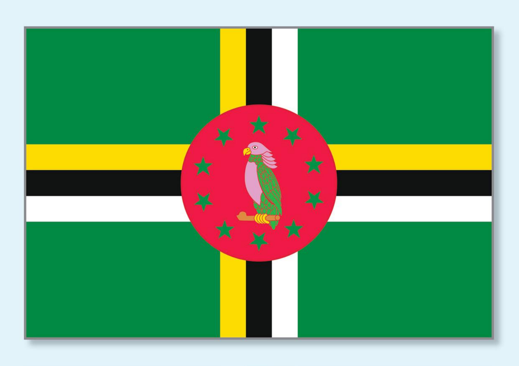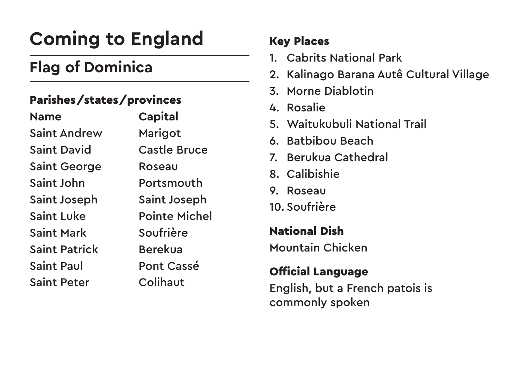### **Flag of Dominica**

#### Parishes/states/provinces

| <b>Name</b>          |
|----------------------|
| <b>Saint Andrew</b>  |
| <b>Saint David</b>   |
| <b>Saint George</b>  |
| Saint John           |
| Saint Joseph         |
| <b>Saint Luke</b>    |
| <b>Saint Mark</b>    |
| <b>Saint Patrick</b> |
| Saint Paul           |
| <b>Saint Peter</b>   |

**Capital Marigot** Castle Bruce Roseau Portsmouth Saint Joseph Pointe Michel Soufrière **Berekua** Pont Cassé **Colihaut** 

#### Key Places

- 1. Cabrits National Park
- 2. Kalinago Barana Autê Cultural Village
- 3. Morne Diablotin
- 4. Rosalie
- 5. Waitukubuli National Trail
- 6. Batbibou Beach
- 7. Berukua Cathedral
- 8. Calibishie
- 9. Roseau
- 10. Soufrière

#### National Dish

Mountain Chicken

#### Official Language

English, but a French patois is commonly spoken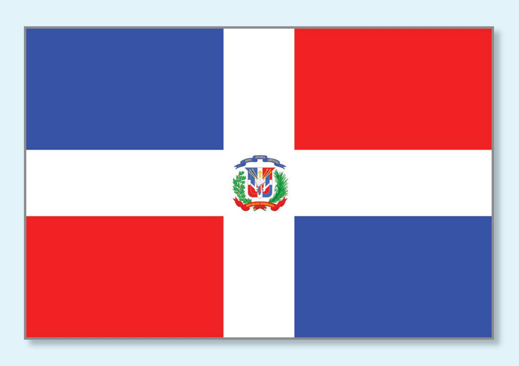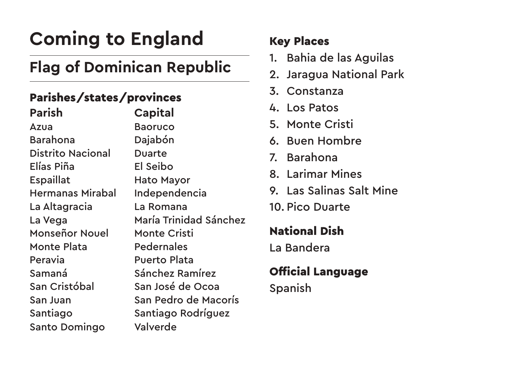### **Flag of Dominican Republic**

#### Parishes/states/provinces

**Parish Capital** Azua Baoruco Barahona Dajabón Distrito Nacional Duarte Elías Piña El Seibo Espaillat Hato Mayor Hermanas Mirabal Independencia La Altagracia La Romana Monseñor Nouel Monte Cristi Monte Plata Pedernales Peravia Puerto Plata Samaná Sánchez Ramírez Santo Domingo Valverde

La Vega **María Trinidad Sánchez** San Cristóbal San José de Ocoa San Juan San Pedro de Macorís Santiago Santiago Rodríguez

#### Key Places

- 1. Bahia de las Aguilas
- 2. Jaragua National Park
- 3. Constanza
- 4. Los Patos
- 5. Monte Cristi
- 6. Buen Hombre
- 7. Barahona
- 8. Larimar Mines
- 9. Las Salinas Salt Mine
- 10. Pico Duarte

#### National Dish

La Bandera

#### Official Language Spanish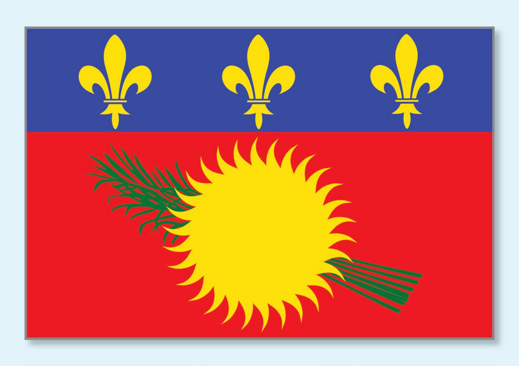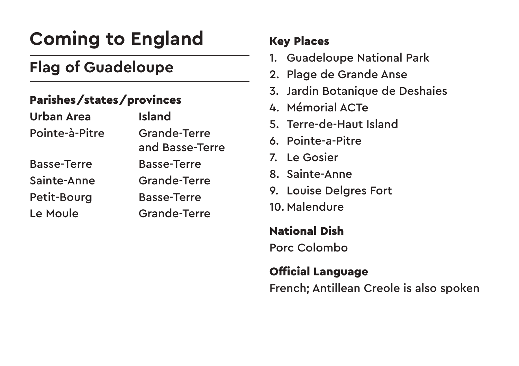### **Flag of Guadeloupe**

#### Parishes/states/provinces

| <b>Urban Area</b>  | <b>Island</b>                          |
|--------------------|----------------------------------------|
| Pointe-à-Pitre     | <b>Grande-Terre</b><br>and Basse-Terre |
| <b>Basse-Terre</b> | <b>Basse-Terre</b>                     |
| Sainte-Anne        | <b>Grande-Terre</b>                    |
| Petit-Bourg        | <b>Basse-Terre</b>                     |
| Le Moule           | <b>Grande-Terre</b>                    |

#### Key Places

- 1. Guadeloupe National Park
- 2. Plage de Grande Anse
- 3. Jardin Botanique de Deshaies
- 4. Mémorial ACTe
- 5. Terre-de-Haut Island
- 6. Pointe-a-Pitre
- 7. Le Gosier
- 8. Sainte-Anne
- 9. Louise Delgres Fort
- 10. Malendure

#### National Dish

Porc Colombo

#### Official Language

French; Antillean Creole is also spoken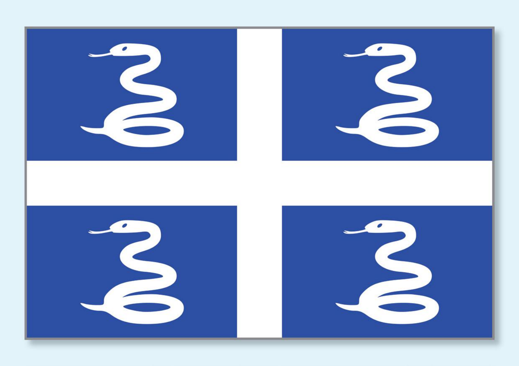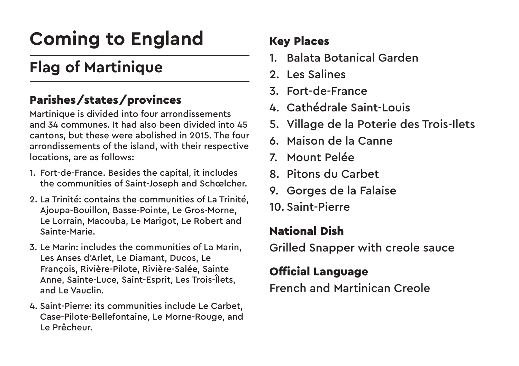### **Flag of Martinique**

#### Parishes/states/provinces

Martinique is divided into four arrondissements and 34 communes. It had also been divided into 45 cantons, but these were abolished in 2015. The four arrondissements of the island, with their respective locations, are as follows:

- 1. Fort-de-France. Besides the capital, it includes the communities of Saint-Joseph and Schœlcher.
- 2. La Trinité: contains the communities of La Trinité, Ajoupa-Bouillon, Basse-Pointe, Le Gros-Morne, Le Lorrain, Macouba, Le Marigot, Le Robert and Sainte-Marie.
- 3. Le Marin: includes the communities of La Marin, Les Anses d'Arlet, Le Diamant, Ducos, Le François, Rivière-Pilote, Rivière-Salée, Sainte Anne, Sainte-Luce, Saint-Esprit, Les Trois-Îlets, and Le Vauclin.
- 4. Saint-Pierre: its communities include Le Carbet, Case-Pilote-Bellefontaine, Le Morne-Rouge, and Le Prêcheur.

#### Key Places

- 1. Balata Botanical Garden
- 2. Les Salines
- 3. Fort-de-France
- 4. Cathédrale Saint-Louis
- 5. Village de la Poterie des Trois-Ilets
- 6. Maison de la Canne
- 7. Mount Pelée
- 8. Pitons du Carbet
- 9. Gorges de la Falaise
- 10. Saint-Pierre

#### National Dish

Grilled Snapper with creole sauce

#### Official Language

French and Martinican Creole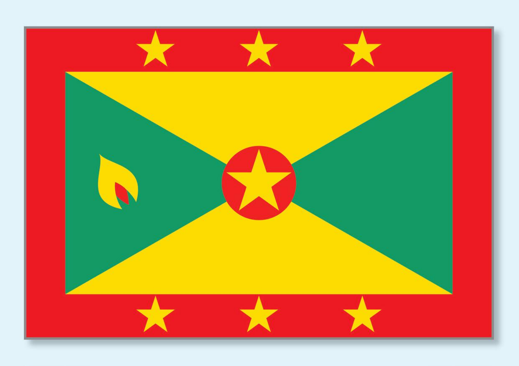![](_page_24_Picture_0.jpeg)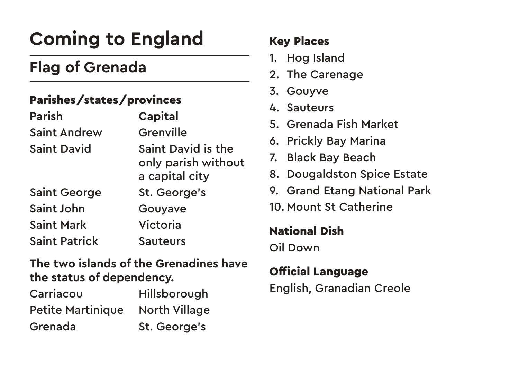### **Flag of Grenada**

#### Parishes/states/provinces

| <b>Parish</b>        | Capital                                                     |
|----------------------|-------------------------------------------------------------|
| <b>Saint Andrew</b>  | Grenville                                                   |
| <b>Saint David</b>   | Saint David is the<br>only parish without<br>a capital city |
| Saint George         | St. George's                                                |
| Saint John           | Gouyave                                                     |
| <b>Saint Mark</b>    | Victoria                                                    |
| <b>Saint Patrick</b> | Sauteurs                                                    |

#### **The two islands of the Grenadines have the status of dependency.**

| Carriacou                | Hillsborough         |
|--------------------------|----------------------|
| <b>Petite Martinique</b> | <b>North Village</b> |
| Grenada                  | St. George's         |

#### Key Places

- 1. Hog Island
- 2. The Carenage
- 3. Gouyve
- 4. Sauteurs
- 5. Grenada Fish Market
- 6. Prickly Bay Marina
- 7. Black Bay Beach
- 8. Dougaldston Spice Estate
- 9. Grand Etang National Park
- 10. Mount St Catherine

#### National Dish

Oil Down

#### Official Language English, Granadian Creole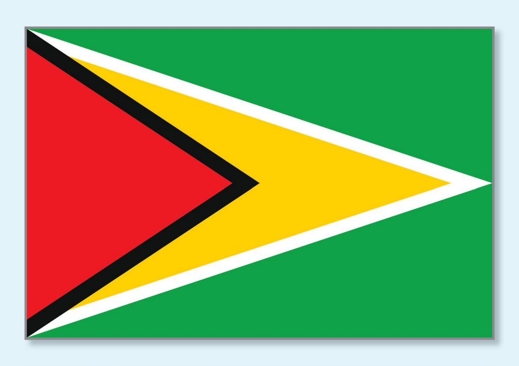![](_page_26_Picture_0.jpeg)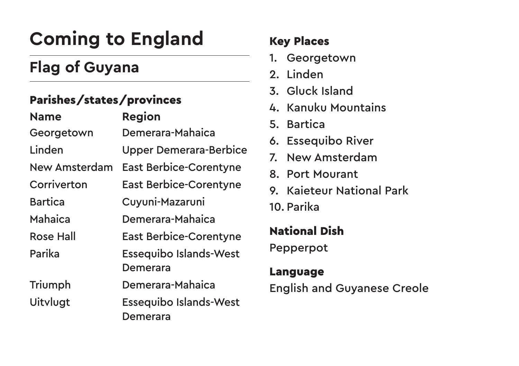### **Flag of Guyana**

#### Parishes/states/provinces

| <b>Name</b>      | <b>Region</b>                      |
|------------------|------------------------------------|
| Georgetown       | Demerara-Mahaica                   |
| Linden           | Upper Demerara-Berbice             |
| New Amsterdam    | <b>East Berbice-Corentyne</b>      |
| Corriverton      | <b>East Berbice-Corentyne</b>      |
| Bartica          | Cuyuni-Mazaruni                    |
| Mahaica          | Demerara-Mahaica                   |
| <b>Rose Hall</b> | <b>East Berbice-Corentyne</b>      |
| Parika           | Essequibo Islands-West<br>Demerara |
| Triumph          | Demerara-Mahaica                   |
| Uitvlugt         | Essequibo Islands-West<br>Demerara |

#### Key Places

- 1. Georgetown
- 2. Linden
- 3. Gluck Island
- 4. Kanuku Mountains
- 5. Bartica
- 6. Essequibo River
- 7. New Amsterdam
- 8. Port Mourant
- 9. Kaieteur National Park
- 10. Parika

#### National Dish

Pepperpot

#### Language

English and Guyanese Creole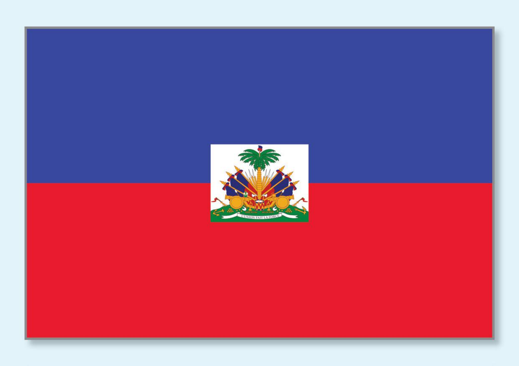![](_page_28_Picture_0.jpeg)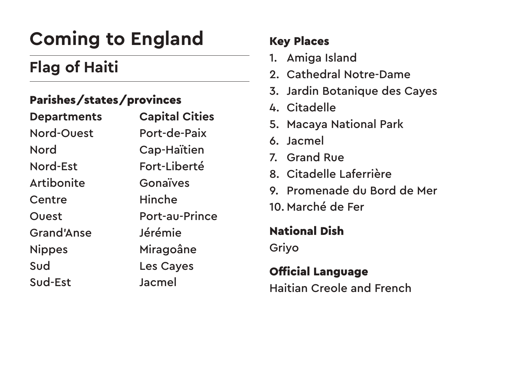### **Flag of Haiti**

#### Parishes/states/provinces

| <b>Capital Cities</b> |
|-----------------------|
| Port-de-Paix          |
| Cap-Haïtien           |
| Fort-Liberté          |
| Gonaïves              |
| Hinche                |
| Port-au-Prince        |
| Jérémie               |
| Miragoâne             |
| Les Cayes             |
| Jacmel                |
|                       |

#### Key Places

- 1. Amiga Island
- 2. Cathedral Notre-Dame
- 3. Jardin Botanique des Cayes
- 4. Citadelle
- 5. Macaya National Park
- 6. Jacmel
- 7. Grand Rue
- 8. Citadelle Laferrière
- 9. Promenade du Bord de Mer
- 10. Marché de Fer

#### National Dish

Griyo

Official Language Haitian Creole and French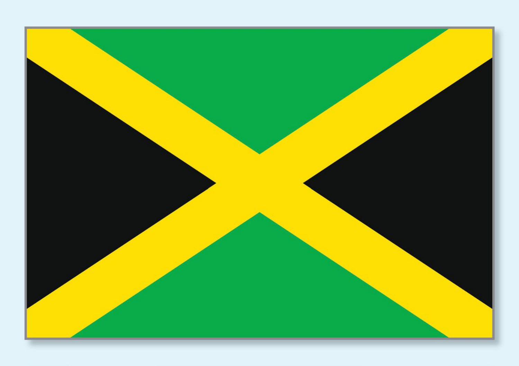![](_page_30_Picture_0.jpeg)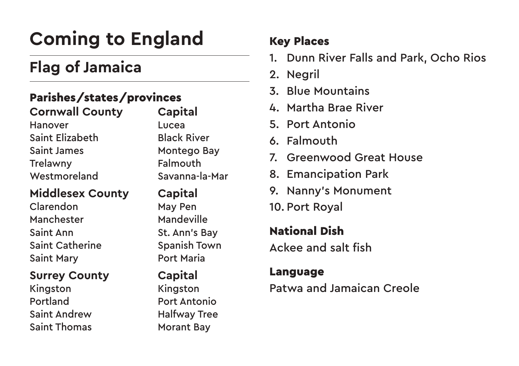### **Flag of Jamaica**

#### Parishes/states/provinces

Hanover Lucea Saint Elizabeth Black River Saint James Montego Bay Trelawny **Falmouth** Westmoreland Savanna-la-Mar

#### **Middlesex County Capital**

Clarendon May Pen Manchester Mandeville Saint Ann St. Ann's Bay Saint Catherine Spanish Town Saint Mary **Port Maria** 

**Surrey County Capital** Kingston Kingston Portland Port Antonio Saint Andrew Halfway Tree Saint Thomas Morant Bay

**Cornwall County Capital**

#### Key Places

- 1. Dunn River Falls and Park, Ocho Rios
- 2. Negril
- 3. Blue Mountains
- 4. Martha Brae River
- 5. Port Antonio
- 6. Falmouth
- 7. Greenwood Great House
- 8. Emancipation Park
- 9. Nanny's Monument
- 10. Port Royal

#### National Dish

Ackee and salt fish

#### Language

Patwa and Jamaican Creole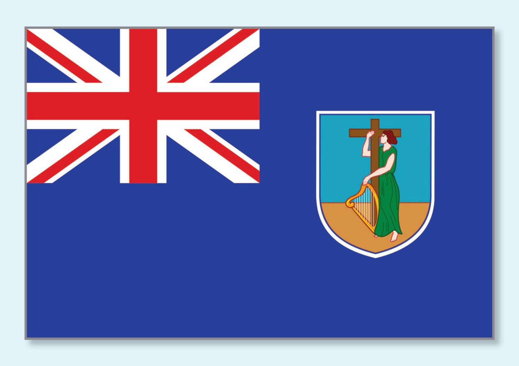![](_page_32_Picture_0.jpeg)

![](_page_32_Picture_1.jpeg)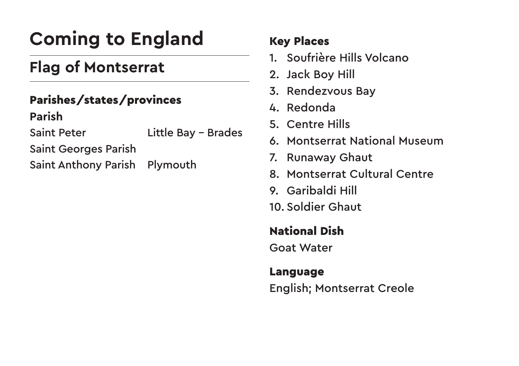### **Flag of Montserrat**

#### Parishes/states/provinces

**Parish** 

Saint Peter **Little Bay - Brades** 

Saint Georges Parish

Saint Anthony Parish Plymouth

#### Key Places

- 1. Soufrière Hills Volcano
- 2. Jack Boy Hill
- 3. Rendezvous Bay
- 4. Redonda
- 5. Centre Hills
- 6. Montserrat National Museum
- 7. Runaway Ghaut
- 8. Montserrat Cultural Centre
- 9. Garibaldi Hill
- 10. Soldier Ghaut

#### National Dish

Goat Water

#### Language

English; Montserrat Creole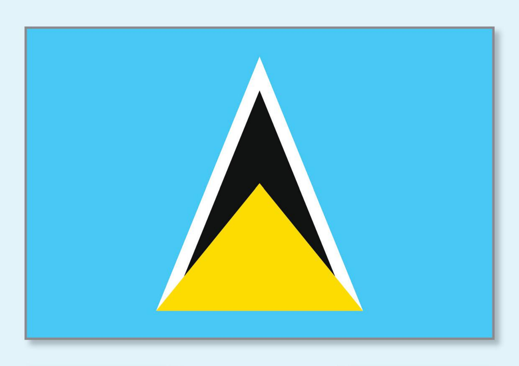![](_page_34_Picture_0.jpeg)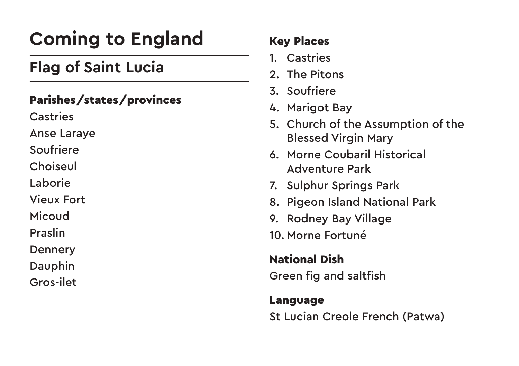### **Flag of Saint Lucia**

#### Parishes/states/provinces

**Castries** 

Anse Laraye

Soufriere

Choiseul

Laborie

Vieux Fort

Micoud

Praslin

**Dennery** 

Dauphin

Gros-ilet

#### Key Places

- 1. Castries
- 2. The Pitons
- 3. Soufriere
- 4. Marigot Bay
- 5. Church of the Assumption of the Blessed Virgin Mary
- 6. Morne Coubaril Historical Adventure Park
- 7. Sulphur Springs Park
- 8. Pigeon Island National Park
- 9. Rodney Bay Village
- 10. Morne Fortuné

#### National Dish

Green fig and saltfish

#### Language

St Lucian Creole French (Patwa)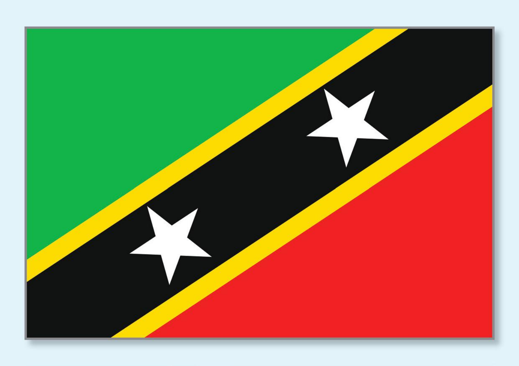![](_page_36_Picture_0.jpeg)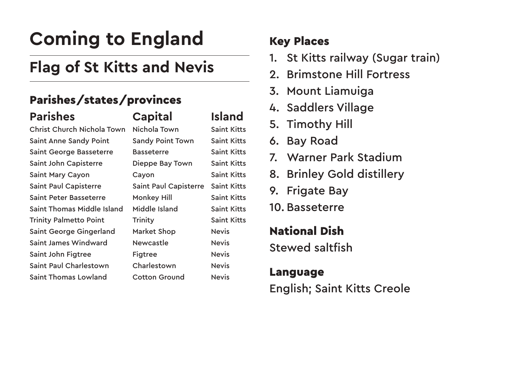### **Flag of St Kitts and Nevis**

#### Parishes/states/provinces

| Parishes/ states/ provinces |               |  |  |  |
|-----------------------------|---------------|--|--|--|
| <b>Capital</b>              | <b>Island</b> |  |  |  |
| Nichola Town                | Saint Kitts   |  |  |  |
| Sandy Point Town            | Saint Kitts   |  |  |  |
| <b>Basseterre</b>           | Saint Kitts   |  |  |  |
| Dieppe Bay Town             | Saint Kitts   |  |  |  |
| Cayon                       | Saint Kitts   |  |  |  |
| Saint Paul Capisterre       | Saint Kitts   |  |  |  |
| Monkey Hill                 | Saint Kitts   |  |  |  |
| Middle Island               | Saint Kitts   |  |  |  |
| Trinity                     | Saint Kitts   |  |  |  |
| Market Shop                 | <b>Nevis</b>  |  |  |  |
| Newcastle                   | <b>Nevis</b>  |  |  |  |
| Figtree                     | <b>Nevis</b>  |  |  |  |
| Charlestown                 | <b>Nevis</b>  |  |  |  |
| Cotton Ground               | <b>Nevis</b>  |  |  |  |
|                             |               |  |  |  |

#### Key Places

- 1. St Kitts railway (Sugar train)
- 2. Brimstone Hill Fortress
- 3. Mount Liamuiga
- 4. Saddlers Village
- 5. Timothy Hill
- 6. Bay Road
- 7. Warner Park Stadium
- 8. Brinley Gold distillery
- 9. Frigate Bay
- 10. Basseterre

#### National Dish

Stewed saltfish

#### Language

English; Saint Kitts Creole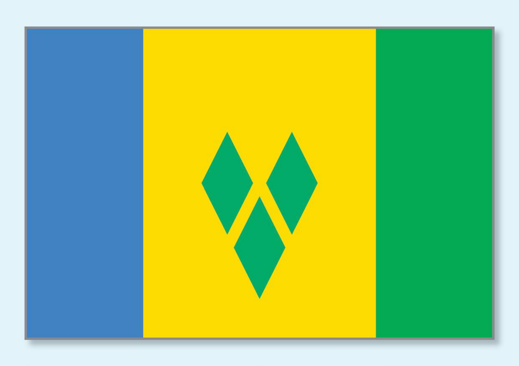![](_page_38_Picture_0.jpeg)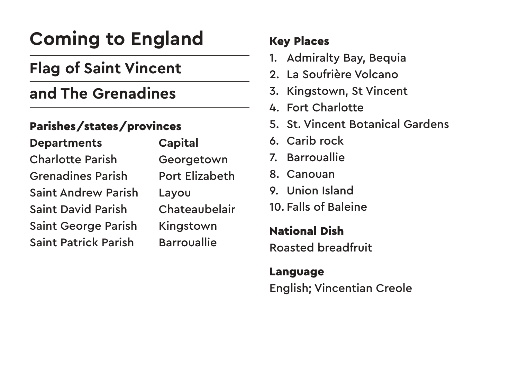### **Flag of Saint Vincent**

### **and The Grenadines**

#### Parishes/states/provinces

**Departments Capital** Charlotte Parish Georgetown Grenadines Parish Port Elizabeth Saint Andrew Parish Layou Saint David Parish Chateaubelair Saint George Parish Kingstown Saint Patrick Parish Barrouallie

#### Key Places

- 1. Admiralty Bay, Bequia
- 2. La Soufrière Volcano
- 3. Kingstown, St Vincent
- 4. Fort Charlotte
- 5. St. Vincent Botanical Gardens
- 6. Carib rock
- 7. Barrouallie
- 8. Canouan
- 9. Union Island
- 10. Falls of Baleine

### National Dish

Roasted breadfruit

#### Language

English; Vincentian Creole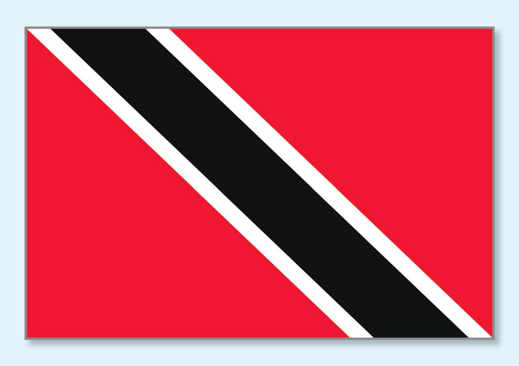![](_page_40_Picture_0.jpeg)